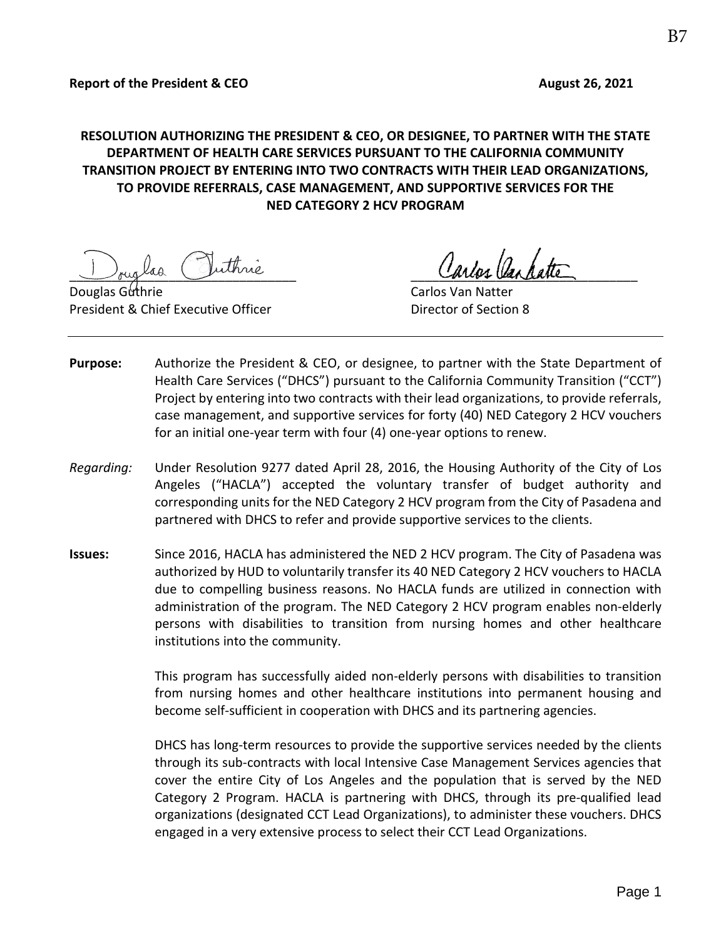# **RESOLUTION AUTHORIZING THE PRESIDENT & CEO, OR DESIGNEE, TO PARTNER WITH THE STATE DEPARTMENT OF HEALTH CARE SERVICES PURSUANT TO THE CALIFORNIA COMMUNITY TRANSITION PROJECT BY ENTERING INTO TWO CONTRACTS WITH THEIR LEAD ORGANIZATIONS, TO PROVIDE REFERRALS, CASE MANAGEMENT, AND SUPPORTIVE SERVICES FOR THE NED CATEGORY 2 HCV PROGRAM**

Juiglas Cuinne

**Douglas Guthrie Carlos Van Natter** Carlos Van Natter President & Chief Executive Officer **Director of Section 8** 

- **Purpose:** Authorize the President & CEO, or designee, to partner with the State Department of Health Care Services ("DHCS") pursuant to the California Community Transition ("CCT") Project by entering into two contracts with their lead organizations, to provide referrals, case management, and supportive services for forty (40) NED Category 2 HCV vouchers for an initial one-year term with four (4) one-year options to renew.
- *Regarding:* Under Resolution 9277 dated April 28, 2016, the Housing Authority of the City of Los Angeles ("HACLA") accepted the voluntary transfer of budget authority and corresponding units for the NED Category 2 HCV program from the City of Pasadena and partnered with DHCS to refer and provide supportive services to the clients.
- **Issues:** Since 2016, HACLA has administered the NED 2 HCV program. The City of Pasadena was authorized by HUD to voluntarily transfer its 40 NED Category 2 HCV vouchers to HACLA due to compelling business reasons. No HACLA funds are utilized in connection with administration of the program. The NED Category 2 HCV program enables non-elderly persons with disabilities to transition from nursing homes and other healthcare institutions into the community.

This program has successfully aided non-elderly persons with disabilities to transition from nursing homes and other healthcare institutions into permanent housing and become self-sufficient in cooperation with DHCS and its partnering agencies.

DHCS has long-term resources to provide the supportive services needed by the clients through its sub-contracts with local Intensive Case Management Services agencies that cover the entire City of Los Angeles and the population that is served by the NED Category 2 Program. HACLA is partnering with DHCS, through its pre-qualified lead organizations (designated CCT Lead Organizations), to administer these vouchers. DHCS engaged in a very extensive process to select their CCT Lead Organizations.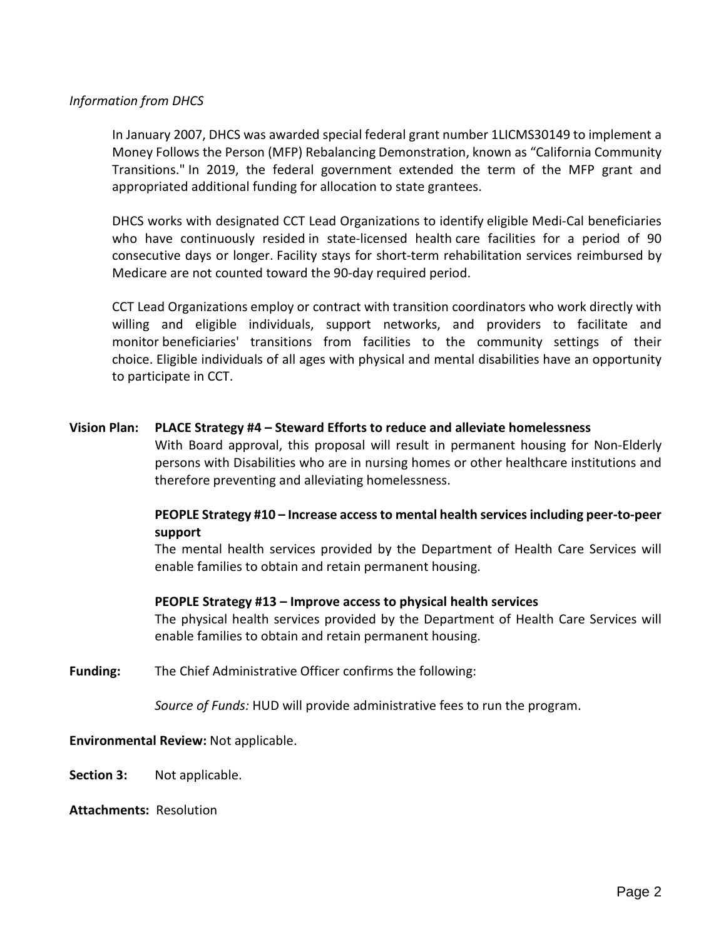## *Information from DHCS*

In January 2007, DHCS was awarded special federal grant number 1LICMS30149 to implement a Money Follows the Person (MFP) Rebalancing Demonstration, known as "California Community Transitions." In 2019, the federal government extended the term of the MFP grant and appropriated additional funding for allocation to state grantees.

DHCS works with designated CCT Lead Organizations to identify eligible Medi-Cal beneficiaries who have continuously resided in state-licensed health care facilities for a period of 90 consecutive days or longer. Facility stays for short-term rehabilitation services reimbursed by Medicare are not counted toward the 90-day required period.

CCT Lead Organizations employ or contract with transition coordinators who work directly with willing and eligible individuals, support networks, and providers to facilitate and monitor beneficiaries' transitions from facilities to the community settings of their choice. Eligible individuals of all ages with physical and mental disabilities have an opportunity to participate in CCT.

## **Vision Plan: PLACE Strategy #4 – Steward Efforts to reduce and alleviate homelessness**

With Board approval, this proposal will result in permanent housing for Non-Elderly persons with Disabilities who are in nursing homes or other healthcare institutions and therefore preventing and alleviating homelessness.

## **PEOPLE Strategy #10 – Increase access to mental health services including peer-to-peer support**

The mental health services provided by the Department of Health Care Services will enable families to obtain and retain permanent housing.

### **PEOPLE Strategy #13 – Improve access to physical health services**

The physical health services provided by the Department of Health Care Services will enable families to obtain and retain permanent housing.

**Funding:** The Chief Administrative Officer confirms the following:

*Source of Funds:* HUD will provide administrative fees to run the program.

### **Environmental Review:** Not applicable.

**Section 3:** Not applicable.

**Attachments:** Resolution